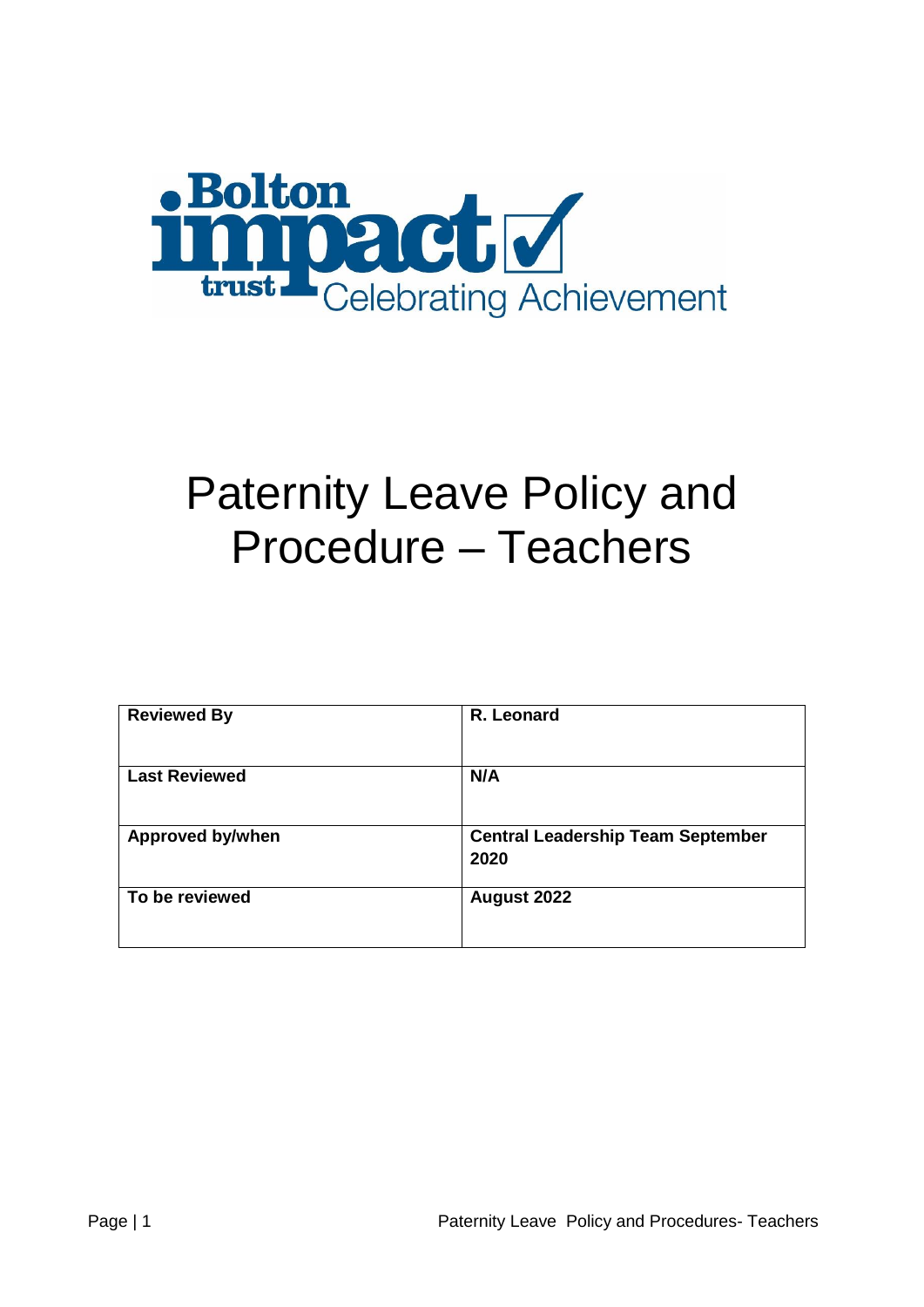

# Paternity Leave Policy and Procedure – Teachers

| <b>Reviewed By</b>      | R. Leonard                                       |  |
|-------------------------|--------------------------------------------------|--|
| <b>Last Reviewed</b>    | N/A                                              |  |
| <b>Approved by/when</b> | <b>Central Leadership Team September</b><br>2020 |  |
| To be reviewed          | August 2022                                      |  |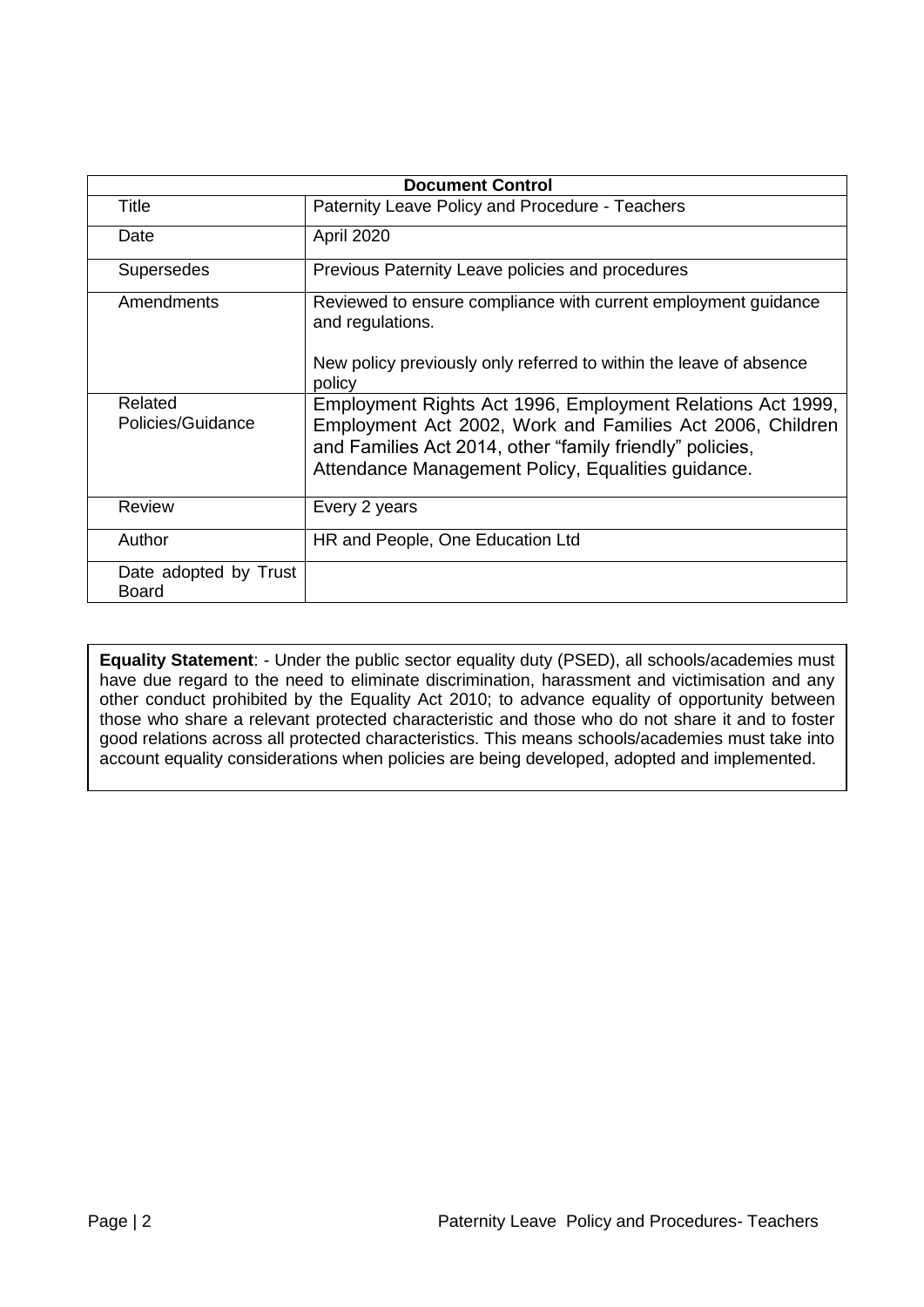| <b>Document Control</b>        |                                                                                                                                                                                                                                           |  |  |
|--------------------------------|-------------------------------------------------------------------------------------------------------------------------------------------------------------------------------------------------------------------------------------------|--|--|
| Title                          | Paternity Leave Policy and Procedure - Teachers                                                                                                                                                                                           |  |  |
| Date                           | April 2020                                                                                                                                                                                                                                |  |  |
| <b>Supersedes</b>              | Previous Paternity Leave policies and procedures                                                                                                                                                                                          |  |  |
| Amendments                     | Reviewed to ensure compliance with current employment guidance<br>and regulations.                                                                                                                                                        |  |  |
|                                | New policy previously only referred to within the leave of absence<br>policy                                                                                                                                                              |  |  |
| Related<br>Policies/Guidance   | Employment Rights Act 1996, Employment Relations Act 1999,<br>Employment Act 2002, Work and Families Act 2006, Children<br>and Families Act 2014, other "family friendly" policies,<br>Attendance Management Policy, Equalities guidance. |  |  |
| <b>Review</b>                  | Every 2 years                                                                                                                                                                                                                             |  |  |
| Author                         | HR and People, One Education Ltd                                                                                                                                                                                                          |  |  |
| Date adopted by Trust<br>Board |                                                                                                                                                                                                                                           |  |  |

**Equality Statement**: - Under the public sector equality duty (PSED), all schools/academies must have due regard to the need to eliminate discrimination, harassment and victimisation and any other conduct prohibited by the Equality Act 2010; to advance equality of opportunity between those who share a relevant protected characteristic and those who do not share it and to foster good relations across all protected characteristics. This means schools/academies must take into account equality considerations when policies are being developed, adopted and implemented.

.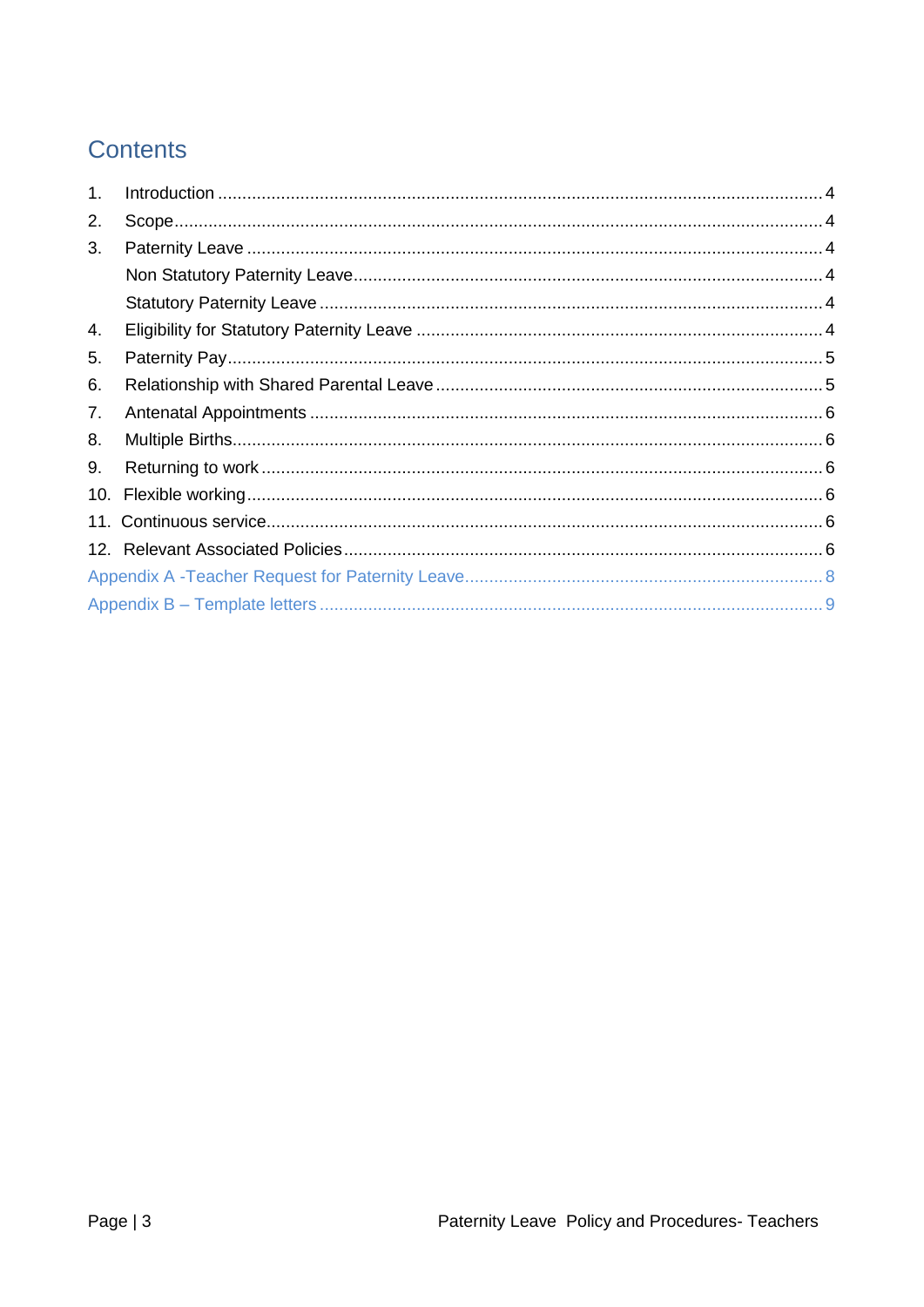# **Contents**

| 1.  |  |
|-----|--|
| 2.  |  |
| 3.  |  |
|     |  |
|     |  |
| 4.  |  |
| 5.  |  |
| 6.  |  |
| 7.  |  |
| 8.  |  |
| 9.  |  |
| 10. |  |
|     |  |
|     |  |
|     |  |
|     |  |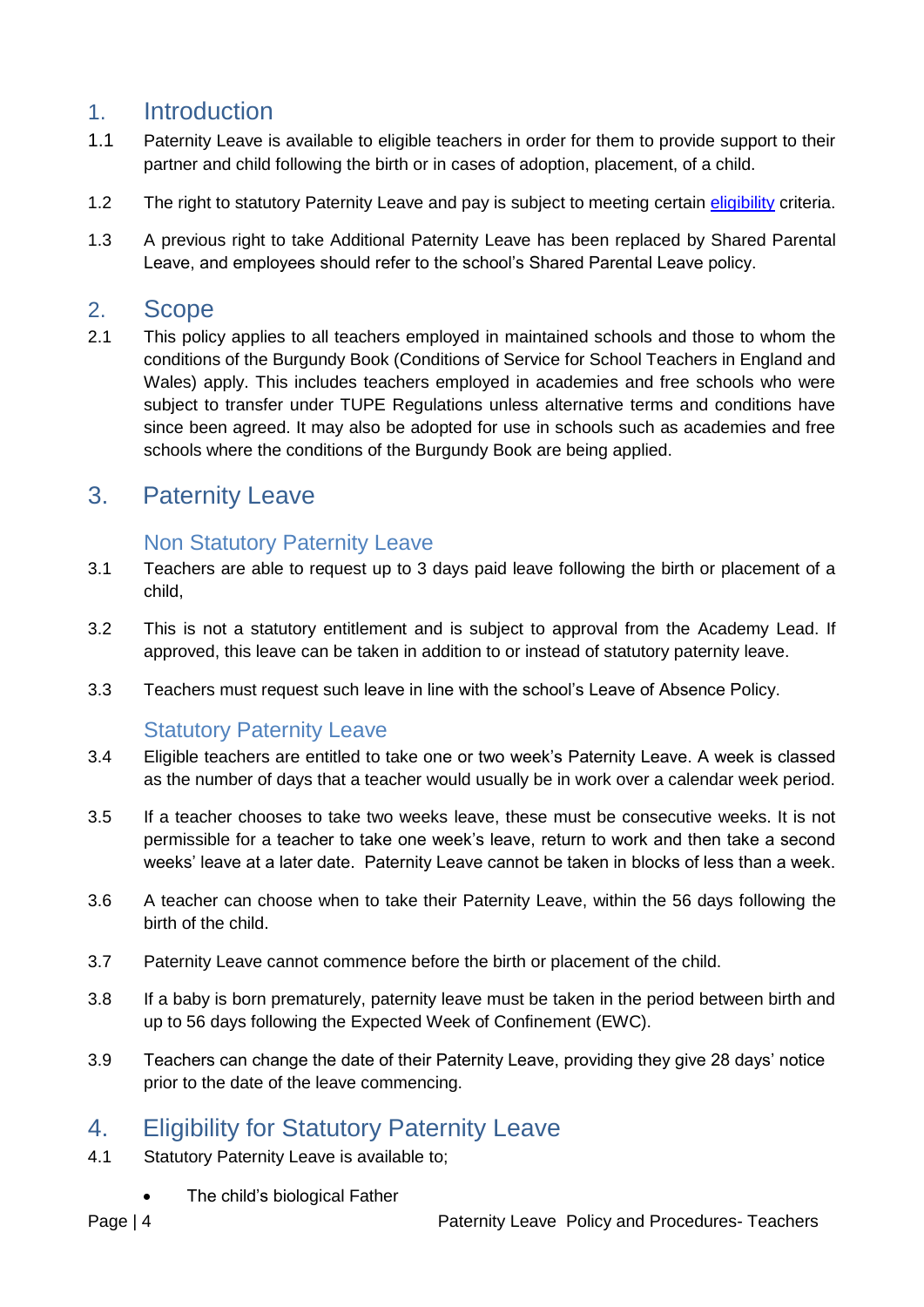## <span id="page-3-0"></span>1. Introduction

- 1.1 Paternity Leave is available to eligible teachers in order for them to provide support to their partner and child following the birth or in cases of adoption, placement, of a child.
- 1.2 The right to statutory Paternity Leave and pay is subject to meeting certain [eligibility](#page-3-5) criteria.
- 1.3 A previous right to take Additional Paternity Leave has been replaced by Shared Parental Leave, and employees should refer to the school's Shared Parental Leave policy.

### <span id="page-3-1"></span>2. Scope

2.1 This policy applies to all teachers employed in maintained schools and those to whom the conditions of the Burgundy Book (Conditions of Service for School Teachers in England and Wales) apply. This includes teachers employed in academies and free schools who were subject to transfer under TUPE Regulations unless alternative terms and conditions have since been agreed. It may also be adopted for use in schools such as academies and free schools where the conditions of the Burgundy Book are being applied.

## <span id="page-3-3"></span><span id="page-3-2"></span>3. Paternity Leave

#### Non Statutory Paternity Leave

- 3.1 Teachers are able to request up to 3 days paid leave following the birth or placement of a child,
- 3.2 This is not a statutory entitlement and is subject to approval from the Academy Lead. If approved, this leave can be taken in addition to or instead of statutory paternity leave.
- 3.3 Teachers must request such leave in line with the school's Leave of Absence Policy.

#### Statutory Paternity Leave

- <span id="page-3-4"></span>3.4 Eligible teachers are entitled to take one or two week's Paternity Leave. A week is classed as the number of days that a teacher would usually be in work over a calendar week period.
- 3.5 If a teacher chooses to take two weeks leave, these must be consecutive weeks. It is not permissible for a teacher to take one week's leave, return to work and then take a second weeks' leave at a later date. Paternity Leave cannot be taken in blocks of less than a week.
- 3.6 A teacher can choose when to take their Paternity Leave, within the 56 days following the birth of the child.
- 3.7 Paternity Leave cannot commence before the birth or placement of the child.
- 3.8 If a baby is born prematurely, paternity leave must be taken in the period between birth and up to 56 days following the Expected Week of Confinement (EWC).
- 3.9 Teachers can change the date of their Paternity Leave, providing they give 28 days' notice prior to the date of the leave commencing.

## <span id="page-3-5"></span>4. Eligibility for Statutory Paternity Leave

- 4.1 Statutory Paternity Leave is available to;
	- The child's biological Father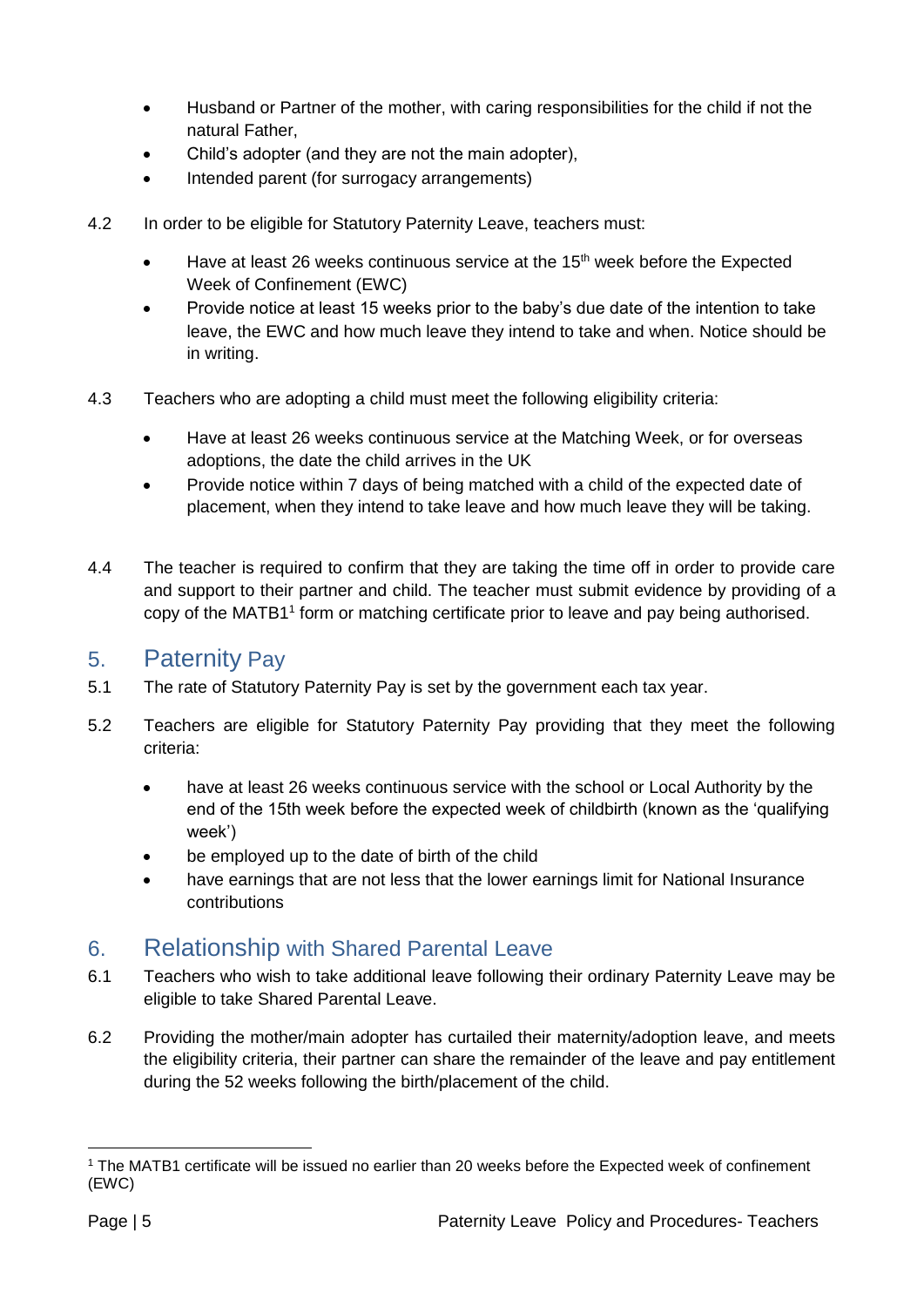- Husband or Partner of the mother, with caring responsibilities for the child if not the natural Father,
- Child's adopter (and they are not the main adopter),
- Intended parent (for surrogacy arrangements)
- 4.2 In order to be eligible for Statutory Paternity Leave, teachers must:
	- Have at least 26 weeks continuous service at the 15<sup>th</sup> week before the Expected Week of Confinement (EWC)
	- Provide notice at least 15 weeks prior to the baby's due date of the intention to take leave, the EWC and how much leave they intend to take and when. Notice should be in writing.
- 4.3 Teachers who are adopting a child must meet the following eligibility criteria:
	- Have at least 26 weeks continuous service at the Matching Week, or for overseas adoptions, the date the child arrives in the UK
	- Provide notice within 7 days of being matched with a child of the expected date of placement, when they intend to take leave and how much leave they will be taking.
- 4.4 The teacher is required to confirm that they are taking the time off in order to provide care and support to their partner and child. The teacher must submit evidence by providing of a copy of the MATB1<sup>1</sup> form or matching certificate prior to leave and pay being authorised.

#### <span id="page-4-0"></span>5. Paternity Pay

- 5.1 The rate of Statutory Paternity Pay is set by the government each tax year.
- 5.2 Teachers are eligible for Statutory Paternity Pay providing that they meet the following criteria:
	- have at least 26 weeks continuous service with the school or Local Authority by the end of the 15th week before the expected week of childbirth (known as the 'qualifying week')
	- be employed up to the date of birth of the child
	- have earnings that are not less that the lower earnings limit for National Insurance contributions

#### <span id="page-4-1"></span>6. Relationship with Shared Parental Leave

- 6.1 Teachers who wish to take additional leave following their ordinary Paternity Leave may be eligible to take Shared Parental Leave.
- 6.2 Providing the mother/main adopter has curtailed their maternity/adoption leave, and meets the eligibility criteria, their partner can share the remainder of the leave and pay entitlement during the 52 weeks following the birth/placement of the child.

<sup>1</sup> <sup>1</sup> The MATB1 certificate will be issued no earlier than 20 weeks before the Expected week of confinement (EWC)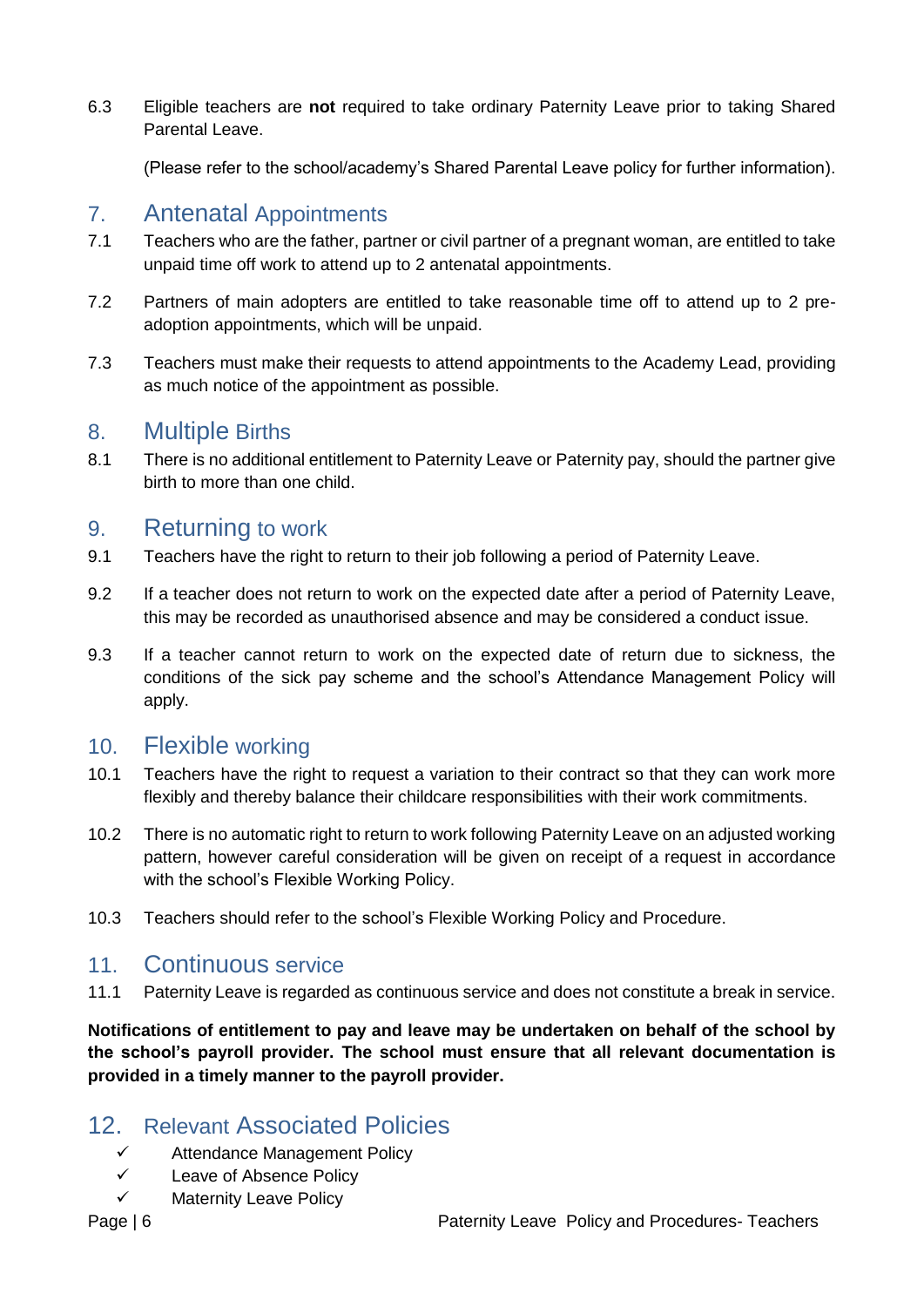6.3 Eligible teachers are **not** required to take ordinary Paternity Leave prior to taking Shared Parental Leave.

(Please refer to the school/academy's Shared Parental Leave policy for further information).

#### <span id="page-5-0"></span>7. Antenatal Appointments

- 7.1 Teachers who are the father, partner or civil partner of a pregnant woman, are entitled to take unpaid time off work to attend up to 2 antenatal appointments.
- 7.2 Partners of main adopters are entitled to take reasonable time off to attend up to 2 preadoption appointments, which will be unpaid.
- 7.3 Teachers must make their requests to attend appointments to the Academy Lead, providing as much notice of the appointment as possible.

#### <span id="page-5-1"></span>8. Multiple Births

8.1 There is no additional entitlement to Paternity Leave or Paternity pay, should the partner give birth to more than one child.

#### <span id="page-5-2"></span>9. Returning to work

- 9.1 Teachers have the right to return to their job following a period of Paternity Leave.
- 9.2 If a teacher does not return to work on the expected date after a period of Paternity Leave, this may be recorded as unauthorised absence and may be considered a conduct issue.
- 9.3 If a teacher cannot return to work on the expected date of return due to sickness, the conditions of the sick pay scheme and the school's Attendance Management Policy will apply.

#### <span id="page-5-3"></span>10. Flexible working

- 10.1 Teachers have the right to request a variation to their contract so that they can work more flexibly and thereby balance their childcare responsibilities with their work commitments.
- 10.2 There is no automatic right to return to work following Paternity Leave on an adjusted working pattern, however careful consideration will be given on receipt of a request in accordance with the school's Flexible Working Policy.
- 10.3 Teachers should refer to the school's Flexible Working Policy and Procedure.

#### <span id="page-5-4"></span>11. Continuous service

11.1 Paternity Leave is regarded as continuous service and does not constitute a break in service.

**Notifications of entitlement to pay and leave may be undertaken on behalf of the school by the school's payroll provider. The school must ensure that all relevant documentation is provided in a timely manner to the payroll provider.** 

## <span id="page-5-5"></span>12. Relevant Associated Policies

- $\checkmark$  Attendance Management Policy
- Leave of Absence Policy
- $\checkmark$  Maternity Leave Policy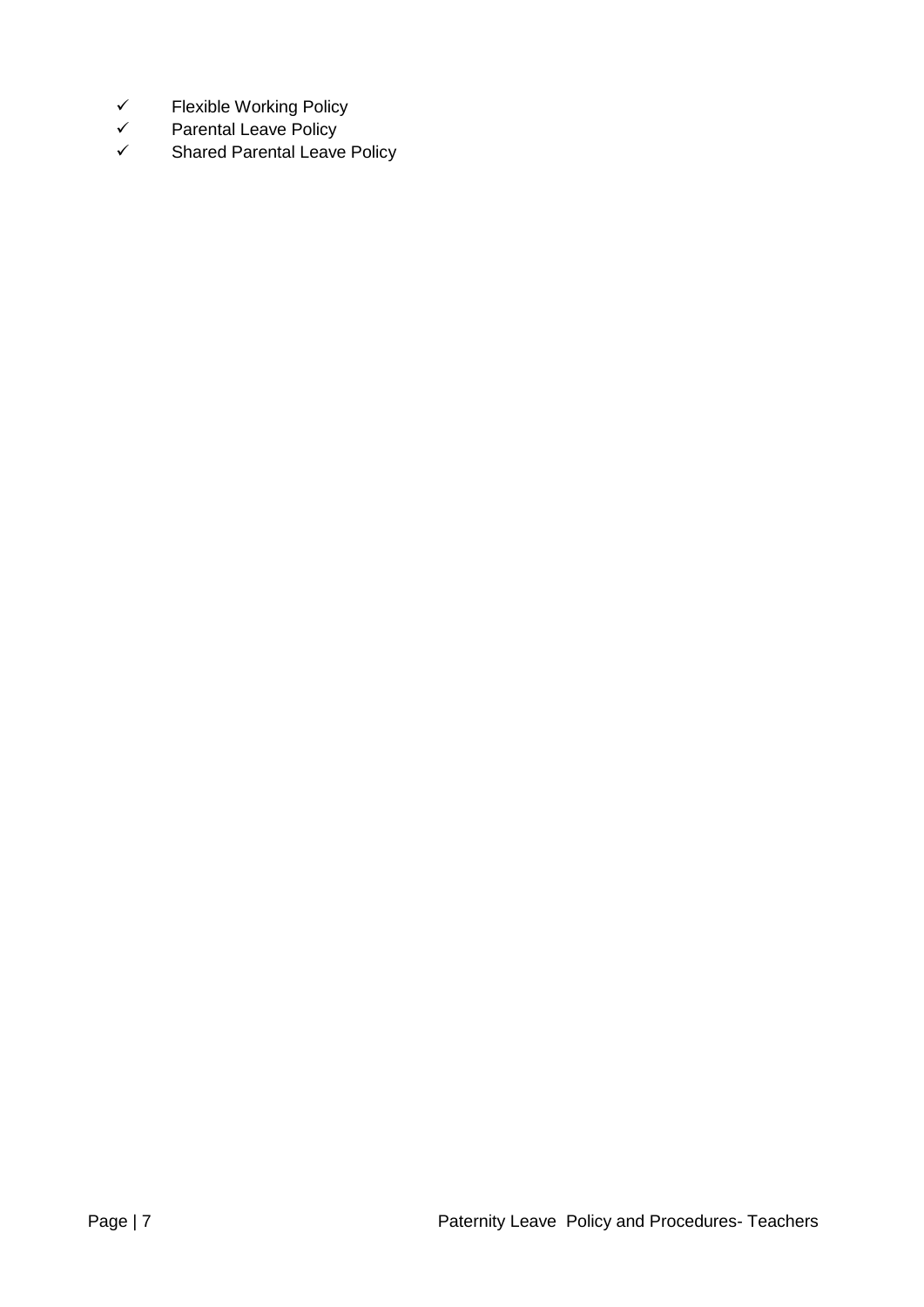- $\checkmark$  Flexible Working Policy
- $\checkmark$  Parental Leave Policy<br> $\checkmark$  Shared Parental Leave
- Shared Parental Leave Policy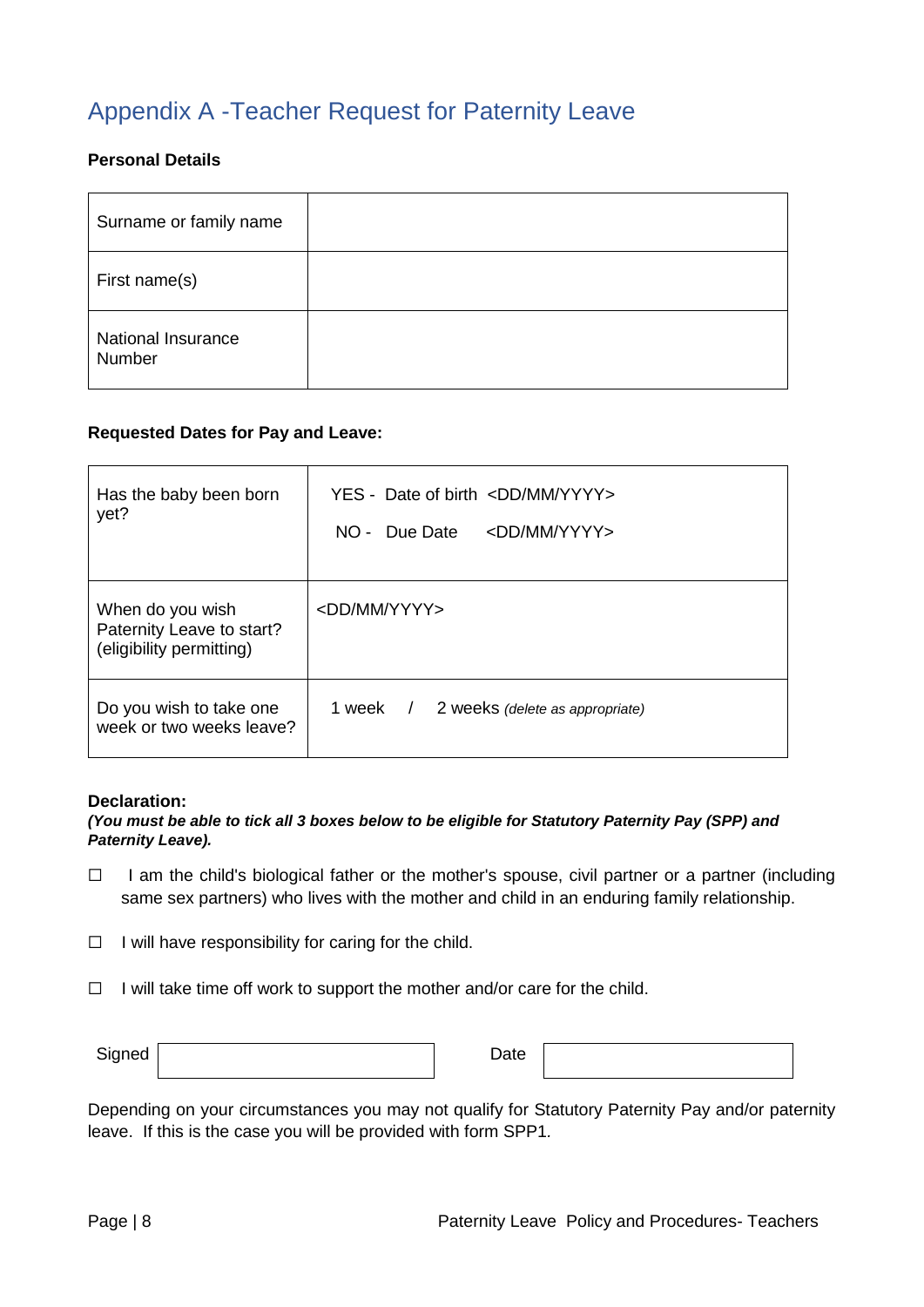## <span id="page-7-0"></span>Appendix A -Teacher Request for Paternity Leave

#### **Personal Details**

| Surname or family name              |  |
|-------------------------------------|--|
| First name(s)                       |  |
| <b>National Insurance</b><br>Number |  |

#### **Requested Dates for Pay and Leave:**

| Has the baby been born<br>yet?                                            | YES - Date of birth <dd mm="" yyyy=""><br/>Due Date<br/><math>NO -</math><br/><dd mm="" yyyy=""></dd></dd> |
|---------------------------------------------------------------------------|------------------------------------------------------------------------------------------------------------|
| When do you wish<br>Paternity Leave to start?<br>(eligibility permitting) | <dd mm="" yyyy=""></dd>                                                                                    |
| Do you wish to take one<br>week or two weeks leave?                       | 1 week<br>2 weeks (delete as appropriate)<br>$\sqrt{2}$                                                    |

#### **Declaration:**

#### *(You must be able to tick all 3 boxes below to be eligible for Statutory Paternity Pay (SPP) and Paternity Leave).*

- □ I am the child's biological father or the mother's spouse, civil partner or a partner (including same sex partners) who lives with the mother and child in an enduring family relationship.
- $\Box$  I will have responsibility for caring for the child.
- $\Box$  I will take time off work to support the mother and/or care for the child.

| Signed | $\bm{\mathsf{\omega}}$ ate |  |
|--------|----------------------------|--|
|        |                            |  |

Depending on your circumstances you may not qualify for Statutory Paternity Pay and/or paternity leave. If this is the case you will be provided with form SPP1*.*